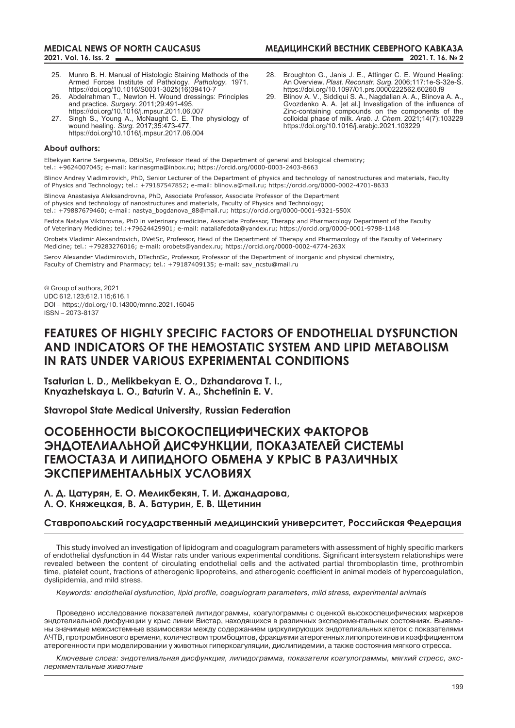## **МЕДИЦИНСКИЙ ВЕСТНИК СЕВЕРНОГО КАВКАЗА 2021. Т. 16. № 2**

- 25. Munro B. H. Manual of Histologic Staining Methods of the Armed Forces Institute of Pathology. *Pathology.* 1971. https://doi.org/10.1016/S0031-3025(16)39410-7
- 26. Abdelrahman T., Newton H. Wound dressings: Principles and practice. *Surgery*. 2011;29:491-495. https://doi.org/10.1016/j.mpsur.2011.06.007
- 27. Singh S., Young A., McNaught C. E. The physiology of wound healing. *Surg.* 2017;35:473-477. https://doi.org/10.1016/j.mpsur.2017.06.004

#### **About authors:**

Elbekyan Karine Sergeevna, DBiolSc, Professor Head of the Department of general and biological chemistry; tel.: +9624007045; e-mail: karinasgma@inbox.ru; https://orcid.org/0000-0003-2403-8663

Blinov Andrey Vladimirovich, PhD, Senior Lecturer of the Department of physics and technology of nanostructures and materials, Faculty of Physics and Technology; tel.: +79187547852; e-mail: blinov.a@mail.ru; https://orcid.org/0000-0002-4701-8633

Blinova Anastasiya Aleksandrovna, PhD, Associate professor, Associate Professor of the Department of physics and technology of nanostructures and materials, Faculty of Physics and Technology; tel.: +79887679460; e-mail: nastya\_bogdanova\_88@mail.ru; https://orcid.org/0000-0001-9321-550X

Fedota Natalya Viktorovna, PhD in veterinary medicine, Associate Professor, Therapy and Pharmacology Department of the Faculty of Veterinary Medicine; tel.:+79624429901; e-mail: nataliafedota@yandex.ru; https://orcid.org/0000-0001-9798-1148

Orobets Vladimir Alexandrovich, DVetSc, Professor, Head of the Department of Therapy and Pharmacology of the Faculty of Veterinary Medicine; tel.: +79283276016; e-mail: orobets@yandex.ru; https://orcid.org/0000-0002-4774-263X

Serov Alexander Vladimirovich, DTechnSc, Professor, Professor of the Department of inorganic and physical chemistry, Faculty of Chemistry and Pharmacy; tel.: +79187409135; e-mail: sav\_ncstu@mail.ru

© Group of authors, 2021 UDC 612.123;612.115;616.1 DOI – https://doi.org/10.14300/mnnc.2021.16046 ISSN – 2073-8137

# **FEATURES OF HIGHLY SPECIFIC FACTORS OF ENDOTHELIAL DYSFUNCTION AND INDICATORS OF THE HEMOSTATIC SYSTEM AND LIPID METABOLISM IN RATS UNDER VARIOUS EXPERIMENTAL CONDITIONS**

**Tsaturian L. D., Melikbekyan E. O., Dzhandarova T. I., Knyazhetskaya L. O., Baturin V. A., Shchetinin E. V.** 

**Stavropol State Medical University, Russian Federation**

# **ОСОБЕННОСТИ ВЫСОКОСПЕЦИФИЧЕСКИХ ФАКТОРОВ ЭНДОТЕЛИАЛЬНОЙ ДИСФУНКЦИИ, ПОКАЗАТЕЛЕЙ СИСТЕМЫ ГЕМОСТАЗА И ЛИПИДНОГО ОБМЕНА У КРЫС В РАЗЛИЧНЫХ ЭКСПЕРИМЕНТАЛЬНЫХ УСЛОВИЯХ**

**Л. Д. Цатурян, Е. О. Меликбекян, Т. И. Джандарова, Л. О. Княжецкая, В. А. Батурин, Е. В. Щетинин**

## **Ставропольский государственный медицинский университет, Российская Федерация**

This study involved an investigation of lipidogram and coagulogram parameters with assessment of highly specific markers of endothelial dysfunction in 44 Wistar rats under various experimental conditions. Significant intersystem relationships were revealed between the content of circulating endothelial cells and the activated partial thromboplastin time, prothrombin time, platelet count, fractions of atherogenic lipoproteins, and atherogenic coefficient in animal models of hypercoagulation, dyslipidemia, and mild stress.

*Keywords: endothelial dysfunction, lipid profile, coagulogram parameters, mild stress, experimental animals*

Проведено исследование показателей липидограммы, коагулограммы с оценкой высокоспецифических маркеров эндотелиальной дисфункции у крыс линии Вистар, находящихся в различных экспериментальных состояниях. Выявлены значимые межсистемные взаимосвязи между содержанием циркулирующих эндотелиальных клеток с показателями АЧТВ, протромбинового времени, количеством тромбоцитов, фракциями атерогенных липопротеинов и коэффициентом атерогенности при моделировании у животных гиперкоагуляции, дислипидемии, а также состояния мягкого стресса.

*Ключевые слова: эндотелиальная дисфункция, липидограмма, показатели коагулограммы, мягкий стресс, экспериментальные животные* 

28. Broughton G., Janis J. E., Attinger C. E. Wound Healing: An Overview. *Plast. Reconstr. Surg.* 2006;117:1e-S-32e-S. https://doi.org/10.1097/01.prs.0000222562.60260.f9

29. Blinov A. V., Siddiqui S. A., Nagdalian A. A., Blinova A. A., Gvozdenko A. A. [et al.] Investigation of the influence of Zinc-containing compounds on the components of the colloidal phase of milk. *Arab. J. Chem.* 2021;14(7):103229 https://doi.org/10.1016/j.arabjc.2021.103229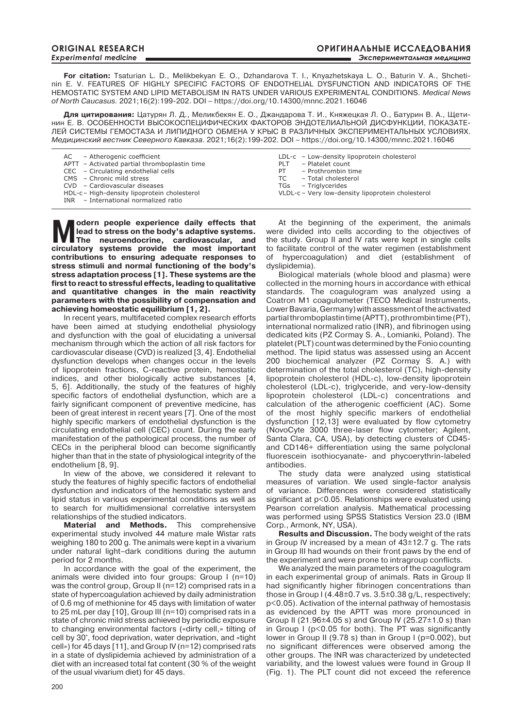**For citation:** Tsaturian L. D., Melikbekyan E. O., Dzhandarova T. I., Knyazhetskaya L. O., Baturin V. A., Shchetinin E. V. FEATURES OF HIGHLY SPECIFIC FACTORS OF ENDOTHELIAL DYSFUNCTION AND INDICATORS OF THE HEMOSTATIC SYSTEM AND LIPID METABOLISM IN RATS UNDER VARIOUS EXPERIMENTAL CONDITIONS. *Medical News of North Caucasus.* 2021;16(2):199-202. DOI – https://doi.org/10.14300/mnnc.2021.16046

**Для цитирования:** Цатурян Л. Д., Меликбекян Е. О., Джандарова Т. И., Княжецкая Л. О., Батурин В. А., Щетинин Е. В. ОСОБЕННОСТИ ВЫСОКОСПЕЦИФИЧЕСКИХ ФАКТОРОВ ЭНДОТЕЛИАЛЬНОЙ ДИСФУНКЦИИ, ПОКАЗАТЕ-ЛЕЙ СИСТЕМЫ ГЕМОСТАЗА И ЛИПИДНОГО ОБМЕНА У КРЫС В РАЗЛИЧНЫХ ЭКСПЕРИМЕНТАЛЬНЫХ УСЛОВИЯХ. *Медицинский вестник Северного Кавказа*. 2021;16(2):199-202. DOI – https://doi.org/10.14300/mnnc.2021.16046

| AC - Atherogenic coefficient<br>APTT - Activated partial thromboplastin time<br>CEC – Circulating endothelial cells<br>CMS - Chronic mild stress<br>CVD - Cardiovascular diseases<br>HDL-c - High-density lipoprotein cholesterol | LDL-c - Low-density lipoprotein cholesterol<br>- Platelet count<br>PLT<br>- Prothrombin time<br>PT.<br>- Total cholesterol<br>TC<br>TGs - Triglycerides<br>VLDL-c - Very low-density lipoprotein cholesterol |
|-----------------------------------------------------------------------------------------------------------------------------------------------------------------------------------------------------------------------------------|--------------------------------------------------------------------------------------------------------------------------------------------------------------------------------------------------------------|
| INR - International normalized ratio                                                                                                                                                                                              |                                                                                                                                                                                                              |

Modern people experience daily effects that<br> **M** lead to stress on the body's adaptive systems.<br>
The neuroendocrine, cardiovascular, and<br>
simulater systems reviews and most important **lead to stress on the body's adaptive systems. The neuroendocrine, cardiovascular, and circulatory systems provide the most important contributions to ensuring adequate responses to stress stimuli and normal functioning of the body's stress adaptation process [1]. These systems are the first to react to stressful effects, leading to qualitative and quantitative changes in the main reactivity parameters with the possibility of compensation and achieving homeostatic equilibrium [1, 2].** 

In recent years, multifaceted complex research efforts have been aimed at studying endothelial physiology and dysfunction with the goal of elucidating a universal mechanism through which the action of all risk factors for cardiovascular disease (CVD) is realized [3, 4]. Endothelial dysfunction develops when changes occur in the levels of lipoprotein fractions, C-reactive protein, hemostatic indices, and other biologically active substances [4, 5, 6]. Additionally, the study of the features of highly specific factors of endothelial dysfunction, which are a fairly significant component of preventive medicine, has been of great interest in recent years [7]. One of the most highly specific markers of endothelial dysfunction is the circulating endothelial cell (CEC) count. During the early manifestation of the pathological process, the number of CECs in the peripheral blood can become significantly higher than that in the state of physiological integrity of the endothelium [8, 9].

In view of the above, we considered it relevant to study the features of highly specific factors of endothelial dysfunction and indicators of the hemostatic system and lipid status in various experimental conditions as well as to search for multidimensional correlative intersystem relationships of the studied indicators.

**Material and Methods.** This comprehensive experimental study involved 44 mature male Wistar rats weighing 180 to 200 g. The animals were kept in a vivarium under natural light–dark conditions during the autumn period for 2 months.

In accordance with the goal of the experiment, the animals were divided into four groups: Group I (n=10) was the control group, Group II (n=12) comprised rats in a state of hypercoagulation achieved by daily administration of 0.6 mg of methionine for 45 days with limitation of water to 25 mL per day [10], Group III (n=10) comprised rats in a state of chronic mild stress achieved by periodic exposure to changing environmental factors («dirty cell,» tilting of cell by 30°, food deprivation, water deprivation, and «tight cell») for 45 days [11], and Group IV (n=12) comprised rats in a state of dyslipidemia achieved by administration of a diet with an increased total fat content (30 % of the weight of the usual vivarium diet) for 45 days.

At the beginning of the experiment, the animals were divided into cells according to the objectives of the study. Group II and IV rats were kept in single cells to facilitate control of the water regimen (establishment of hypercoagulation) and diet (establishment of dyslipidemia).

Biological materials (whole blood and plasma) were collected in the morning hours in accordance with ethical standards. The coagulogram was analyzed using a Coatron M1 coagulometer (TECO Medical Instruments, Lower Bavaria, Germany) with assessment of the activated partial thromboplastin time (APTT), prothrombin time (PT), international normalized ratio (INR), and fibrinogen using dedicated kits (PZ Cormay S. A., Łomianki, Poland). The platelet (PLT) count was determined by the Fonio counting method. The lipid status was assessed using an Accent 200 biochemical analyzer (PZ Cormay S. A.) with determination of the total cholesterol (TC), high-density lipoprotein cholesterol (HDL-c), low-density lipoprotein cholesterol (LDL-c), triglyceride, and very-low-density lipoprotein cholesterol (LDL-c) concentrations and calculation of the atherogenic coefficient (AC). Some of the most highly specific markers of endothelial dysfunction [12,13] were evaluated by flow cytometry (NovoCyte 3000 three-laser flow cytometer; Agilent, Santa Clara, CA, USA), by detecting clusters of CD45 and CD146+ differentiation using the same polyclonal fluorescein isothiocyanate- and phycoerythrin-labeled antibodies.

The study data were analyzed using statistical measures of variation. We used single-factor analysis of variance. Differences were considered statistically significant at p<0.05. Relationships were evaluated using Pearson correlation analysis. Mathematical processing was performed using SPSS Statistics Version 23.0 (IBM Corp., Armonk, NY, USA).

**Results and Discussion.** The body weight of the rats in Group IV increased by a mean of 43±12.7 g. The rats in Group III had wounds on their front paws by the end of the experiment and were prone to intragroup conflicts.

We analyzed the main parameters of the coagulogram in each experimental group of animals. Rats in Group II had significantly higher fibrinogen concentrations than those in Group  $I(4.48\pm0.7 \text{ vs. } 3.5\pm0.38 \text{ g/L}$ , respectively; p<0.05). Activation of the internal pathway of hemostasis as evidenced by the APTT was more pronounced in Group II (21.96 $\pm$ 4.05 s) and Group IV (25.27 $\pm$ 1.0 s) than in Group I (p<0.05 for both). The PT was significantly lower in Group II (9.78 s) than in Group I (p=0.002), but no significant differences were observed among the other groups. The INR was characterized by undetected variability, and the lowest values were found in Group II (Fig. 1). The PLT count did not exceed the reference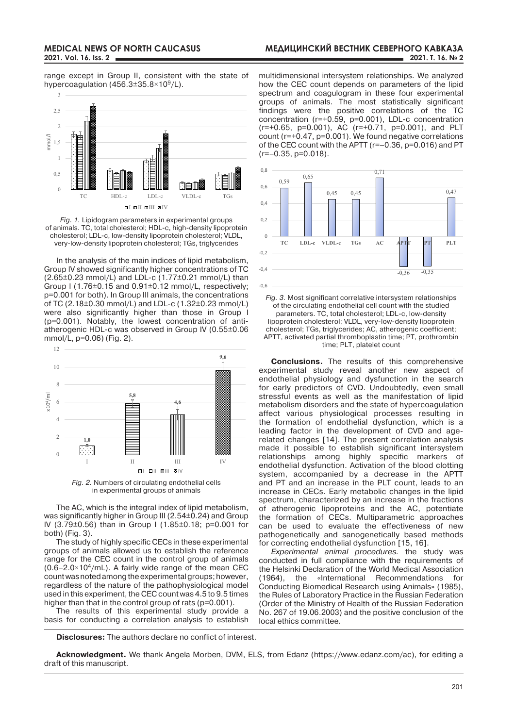range except in Group II, consistent with the state of hypercoagulation (456.3 $\pm$ 35.8 $\times$ 10<sup>9</sup>/L).



*Fig. 1.* Lipidogram parameters in experimental groups of animals. TC, total cholesterol; HDL-c, high-density lipoprotein cholesterol; LDL-c, low-density lipoprotein cholesterol; VLDL, very-low-density lipoprotein cholesterol; TGs, triglycerides

In the analysis of the main indices of lipid metabolism, Group IV showed significantly higher concentrations of TC (2.65±0.23 mmol/L) and LDL-c (1.77±0.21 mmol/L) than Group I (1.76±0.15 and 0.91±0.12 mmol/L, respectively; p=0.001 for both). In Group III animals, the concentrations of TC (2.18±0.30 mmol/L) and LDL-c (1.32±0.23 mmol/L) were also significantly higher than those in Group I (p=0.001). Notably, the lowest concentration of antiatherogenic HDL-c was observed in Group IV (0.55±0.06 mmol/L, p=0.06) (Fig. 2).

12



*Fig. 2.* Numbers of circulating endothelial cells in experimental groups of animals

The AC, which is the integral index of lipid metabolism, was significantly higher in Group III (2.54±0.24) and Group IV (3.79±0.56) than in Group I (1.85±0.18; p=0.001 for both) (Fig. 3).

The study of highly specific CECs in these experimental groups of animals allowed us to establish the reference range for the CEC count in the control group of animals  $(0.6-2.0\times10^4$ /mL). A fairly wide range of the mean CEC count was noted among the experimental groups; however, regardless of the nature of the pathophysiological model used in this experiment, the CEC count was 4.5 to 9.5 times higher than that in the control group of rats (p=0.001).

The results of this experimental study provide a basis for conducting a correlation analysis to establish

**Disclosures:** The authors declare no conflict of interest.

multidimensional intersystem relationships. We analyzed how the CEC count depends on parameters of the lipid spectrum and coagulogram in these four experimental groups of animals. The most statistically significant findings were the positive correlations of the TC concentration (r=+0.59, p=0.001), LDL-c concentration (r=+0.65, p=0.001), AC (r=+0.71, p=0.001), and PLT count (r=+0.47, p=0.001). We found negative correlations of the CEC count with the APTT (r=–0.36, p=0.016) and PT  $(r=-0.35, p=0.018)$ .



*Fig. 3.* Most significant correlative intersystem relationships of the circulating endothelial cell count with the studied parameters. TC, total cholesterol; LDL-c, low-density lipoprotein cholesterol; VLDL, very-low-density lipoprotein cholesterol; TGs, triglycerides; AC, atherogenic coefficient; APTT, activated partial thromboplastin time; PT, prothrombin time; PLT, platelet count

**Conclusions.** The results of this comprehensive experimental study reveal another new aspect of endothelial physiology and dysfunction in the search for early predictors of CVD. Undoubtedly, even small stressful events as well as the manifestation of lipid metabolism disorders and the state of hypercoagulation affect various physiological processes resulting in the formation of endothelial dysfunction, which is a leading factor in the development of CVD and agerelated changes [14]. The present correlation analysis made it possible to establish significant intersystem relationships among highly specific markers of endothelial dysfunction. Activation of the blood clotting system, accompanied by a decrease in the APTT and PT and an increase in the PLT count, leads to an increase in CECs. Early metabolic changes in the lipid spectrum, characterized by an increase in the fractions of atherogenic lipoproteins and the AC, potentiate the formation of CECs. Multiparametric approaches can be used to evaluate the effectiveness of new pathogenetically and sanogenetically based methods for correcting endothelial dysfunction [15, 16].

*Experimental animal procedures.* the study was conducted in full compliance with the requirements of the Helsinki Declaration of the World Medical Association (1964), the «International Recommendations for Conducting Biomedical Research using Animals» (1985), the Rules of Laboratory Practice in the Russian Federation (Order of the Ministry of Health of the Russian Federation No. 267 of 19.06.2003) and the positive conclusion of the local ethics committee*.*

**Acknowledgment.** We thank Angela Morben, DVM, ELS, from Edanz (https://www.edanz.com/ac), for editing a draft of this manuscript.